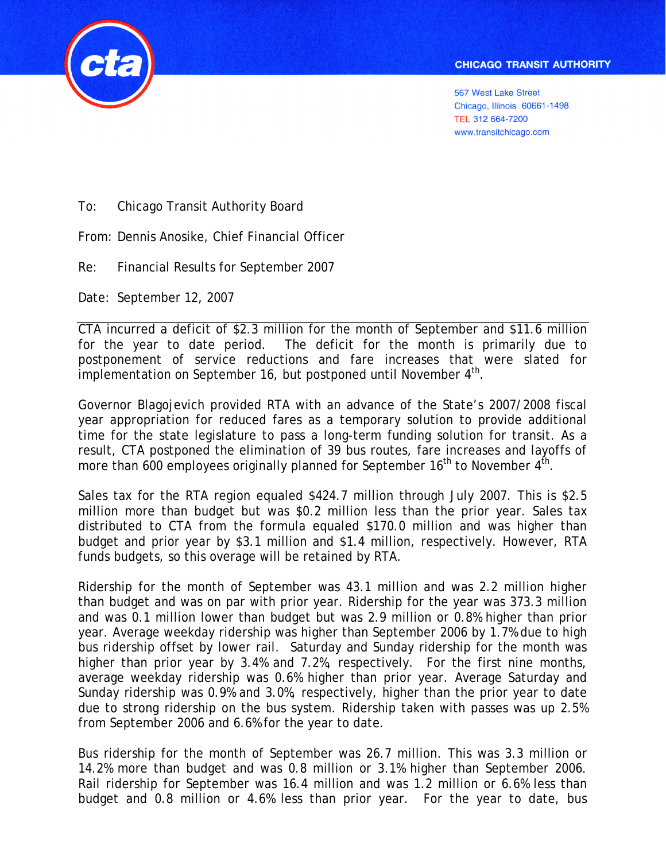

**567 West Lake Street** Chicago, Illinois 60661-1498 TEL 312 664-7200 www.transitchicago.com

To: Chicago Transit Authority Board

From: Dennis Anosike, Chief Financial Officer

Re: Financial Results for September 2007

Date: September 12, 2007

CTA incurred a deficit of \$2.3 million for the month of September and \$11.6 million for the year to date period. The deficit for the month is primarily due to postponement of service reductions and fare increases that were slated for implementation on September 16, but postponed until November  $4<sup>th</sup>$ .

Governor Blagojevich provided RTA with an advance of the State's 2007/2008 fiscal year appropriation for reduced fares as a temporary solution to provide additional time for the state legislature to pass a long-term funding solution for transit. As a result, CTA postponed the elimination of 39 bus routes, fare increases and layoffs of more than 600 employees originally planned for September  $16<sup>th</sup>$  to November  $4<sup>th</sup>$ .

Sales tax for the RTA region equaled \$424.7 million through July 2007. This is \$2.5 million more than budget but was \$0.2 million less than the prior year. Sales tax distributed to CTA from the formula equaled \$170.0 million and was higher than budget and prior year by \$3.1 million and \$1.4 million, respectively. However, RTA funds budgets, so this overage will be retained by RTA.

Ridership for the month of September was 43.1 million and was 2.2 million higher than budget and was on par with prior year. Ridership for the year was 373.3 million and was 0.1 million lower than budget but was 2.9 million or 0.8% higher than prior year. Average weekday ridership was higher than September 2006 by 1.7% due to high bus ridership offset by lower rail. Saturday and Sunday ridership for the month was higher than prior year by 3.4% and 7.2%, respectively. For the first nine months, average weekday ridership was 0.6% higher than prior year. Average Saturday and Sunday ridership was 0.9% and 3.0%, respectively, higher than the prior year to date due to strong ridership on the bus system. Ridership taken with passes was up 2.5% from September 2006 and 6.6% for the year to date.

Bus ridership for the month of September was 26.7 million. This was 3.3 million or 14.2% more than budget and was 0.8 million or 3.1% higher than September 2006. Rail ridership for September was 16.4 million and was 1.2 million or 6.6% less than budget and 0.8 million or 4.6% less than prior year. For the year to date, bus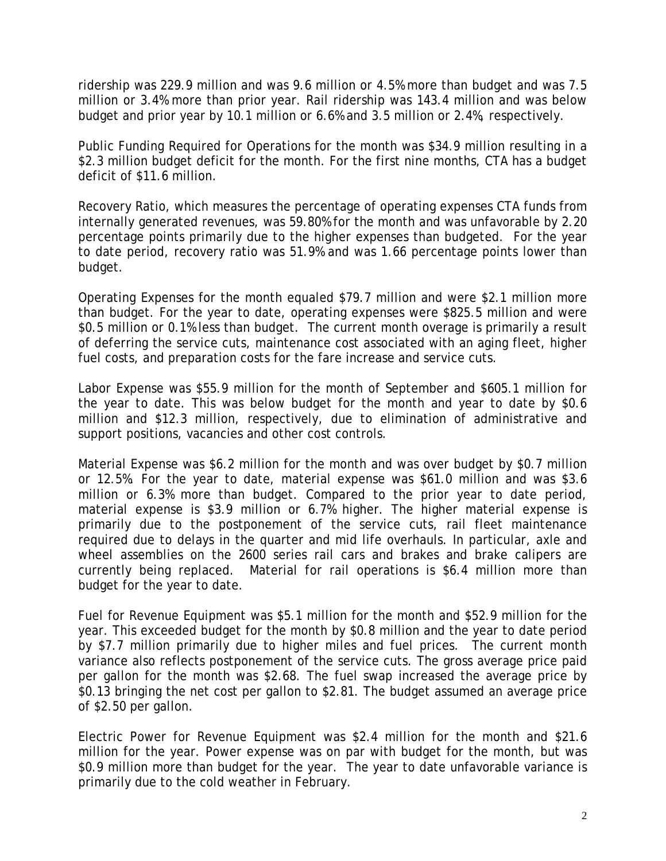ridership was 229.9 million and was 9.6 million or 4.5% more than budget and was 7.5 million or 3.4% more than prior year. Rail ridership was 143.4 million and was below budget and prior year by 10.1 million or 6.6% and 3.5 million or 2.4%, respectively.

Public Funding Required for Operations for the month was \$34.9 million resulting in a \$2.3 million budget deficit for the month. For the first nine months, CTA has a budget deficit of \$11.6 million.

Recovery Ratio, which measures the percentage of operating expenses CTA funds from internally generated revenues, was 59.80% for the month and was unfavorable by 2.20 percentage points primarily due to the higher expenses than budgeted. For the year to date period, recovery ratio was 51.9% and was 1.66 percentage points lower than budget.

Operating Expenses for the month equaled \$79.7 million and were \$2.1 million more than budget. For the year to date, operating expenses were \$825.5 million and were \$0.5 million or 0.1% less than budget. The current month overage is primarily a result of deferring the service cuts, maintenance cost associated with an aging fleet, higher fuel costs, and preparation costs for the fare increase and service cuts.

Labor Expense was \$55.9 million for the month of September and \$605.1 million for the year to date. This was below budget for the month and year to date by \$0.6 million and \$12.3 million, respectively, due to elimination of administrative and support positions, vacancies and other cost controls.

Material Expense was \$6.2 million for the month and was over budget by \$0.7 million or 12.5%. For the year to date, material expense was \$61.0 million and was \$3.6 million or 6.3% more than budget. Compared to the prior year to date period, material expense is \$3.9 million or 6.7% higher. The higher material expense is primarily due to the postponement of the service cuts, rail fleet maintenance required due to delays in the quarter and mid life overhauls. In particular, axle and wheel assemblies on the 2600 series rail cars and brakes and brake calipers are currently being replaced. Material for rail operations is \$6.4 million more than budget for the year to date.

Fuel for Revenue Equipment was \$5.1 million for the month and \$52.9 million for the year. This exceeded budget for the month by \$0.8 million and the year to date period by \$7.7 million primarily due to higher miles and fuel prices. The current month variance also reflects postponement of the service cuts. The gross average price paid per gallon for the month was \$2.68. The fuel swap increased the average price by \$0.13 bringing the net cost per gallon to \$2.81. The budget assumed an average price of \$2.50 per gallon.

Electric Power for Revenue Equipment was \$2.4 million for the month and \$21.6 million for the year. Power expense was on par with budget for the month, but was \$0.9 million more than budget for the year. The year to date unfavorable variance is primarily due to the cold weather in February.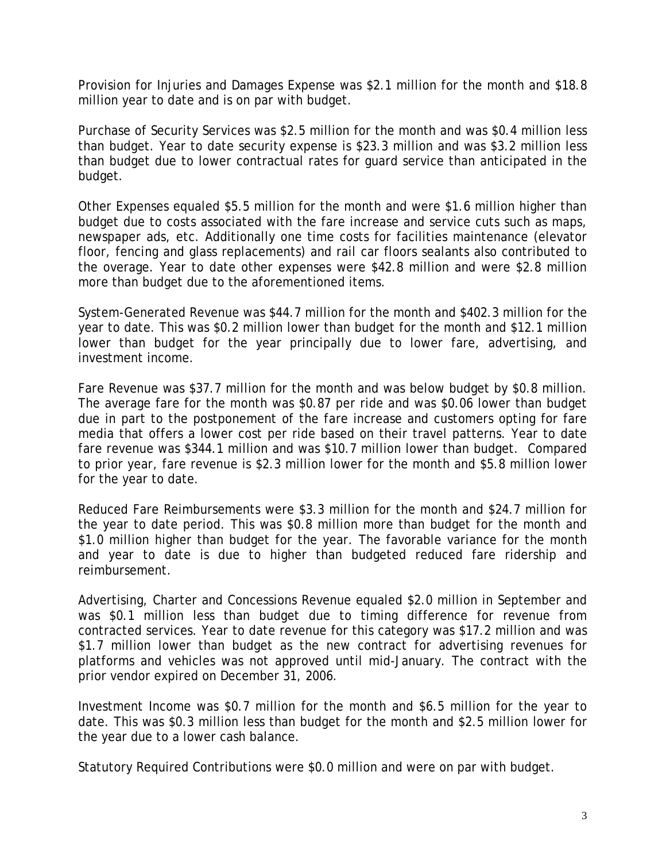Provision for Injuries and Damages Expense was \$2.1 million for the month and \$18.8 million year to date and is on par with budget.

Purchase of Security Services was \$2.5 million for the month and was \$0.4 million less than budget. Year to date security expense is \$23.3 million and was \$3.2 million less than budget due to lower contractual rates for guard service than anticipated in the budget.

Other Expenses equaled \$5.5 million for the month and were \$1.6 million higher than budget due to costs associated with the fare increase and service cuts such as maps, newspaper ads, etc. Additionally one time costs for facilities maintenance (elevator floor, fencing and glass replacements) and rail car floors sealants also contributed to the overage. Year to date other expenses were \$42.8 million and were \$2.8 million more than budget due to the aforementioned items.

System-Generated Revenue was \$44.7 million for the month and \$402.3 million for the year to date. This was \$0.2 million lower than budget for the month and \$12.1 million lower than budget for the year principally due to lower fare, advertising, and investment income.

Fare Revenue was \$37.7 million for the month and was below budget by \$0.8 million. The average fare for the month was \$0.87 per ride and was \$0.06 lower than budget due in part to the postponement of the fare increase and customers opting for fare media that offers a lower cost per ride based on their travel patterns. Year to date fare revenue was \$344.1 million and was \$10.7 million lower than budget. Compared to prior year, fare revenue is \$2.3 million lower for the month and \$5.8 million lower for the year to date.

Reduced Fare Reimbursements were \$3.3 million for the month and \$24.7 million for the year to date period. This was \$0.8 million more than budget for the month and \$1.0 million higher than budget for the year. The favorable variance for the month and year to date is due to higher than budgeted reduced fare ridership and reimbursement.

Advertising, Charter and Concessions Revenue equaled \$2.0 million in September and was \$0.1 million less than budget due to timing difference for revenue from contracted services. Year to date revenue for this category was \$17.2 million and was \$1.7 million lower than budget as the new contract for advertising revenues for platforms and vehicles was not approved until mid-January. The contract with the prior vendor expired on December 31, 2006.

Investment Income was \$0.7 million for the month and \$6.5 million for the year to date. This was \$0.3 million less than budget for the month and \$2.5 million lower for the year due to a lower cash balance.

Statutory Required Contributions were \$0.0 million and were on par with budget.